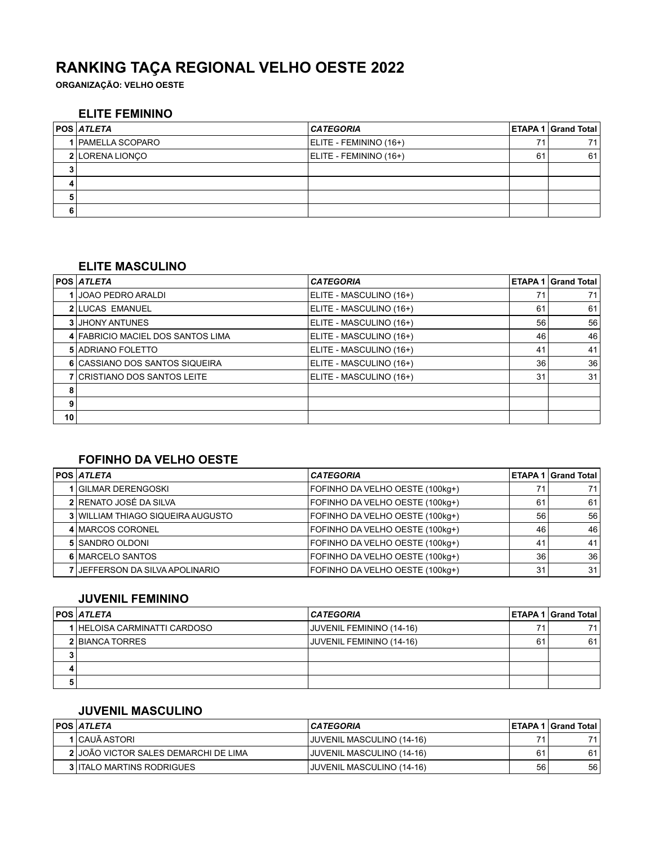# **RANKING TAÇA REGIONAL VELHO OESTE 2022**

**ORGANIZAÇÃO: VELHO OESTE**

#### **ELITE FEMININO**

|   | <b>POS ATLETA</b> | <b>CATEGORIA</b>       |    | <b>ETAPA 1 Grand Total</b> |
|---|-------------------|------------------------|----|----------------------------|
|   | 1 PAMELLA SCOPARO | ELITE - FEMININO (16+) | 74 | 71                         |
|   | 2 LORENA LIONCO   | ELITE - FEMININO (16+) | 61 | 61                         |
| 3 |                   |                        |    |                            |
| 4 |                   |                        |    |                            |
| 5 |                   |                        |    |                            |
| 6 |                   |                        |    |                            |

#### **ELITE MASCULINO**

|    | POS  <i>ATLETA</i>                | <b>CATEGORIA</b>        |    | <b>ETAPA 1 Grand Total</b> |
|----|-----------------------------------|-------------------------|----|----------------------------|
|    | JOAO PEDRO ARALDI                 | ELITE - MASCULINO (16+) | 71 | 71                         |
|    | <b>2 LUCAS EMANUEL</b>            | ELITE - MASCULINO (16+) | 61 | 61                         |
|    | <b>3 JHONY ANTUNES</b>            | ELITE - MASCULINO (16+) | 56 | 56                         |
|    | 4 FABRICIO MACIEL DOS SANTOS LIMA | ELITE - MASCULINO (16+) | 46 | 46                         |
|    | <b>5 ADRIANO FOLETTO</b>          | ELITE - MASCULINO (16+) | 41 | 41                         |
|    | 6 CASSIANO DOS SANTOS SIQUEIRA    | ELITE - MASCULINO (16+) | 36 | 36                         |
|    | 7 CRISTIANO DOS SANTOS LEITE      | ELITE - MASCULINO (16+) | 31 | 31                         |
| 8  |                                   |                         |    |                            |
| 9  |                                   |                         |    |                            |
| 10 |                                   |                         |    |                            |

# **FOFINHO DA VELHO OESTE**

| <b>POS ATLETA</b>                      | <b>CATEGORIA</b>                |    | <b>ETAPA 1 Grand Total</b> |
|----------------------------------------|---------------------------------|----|----------------------------|
| 1 GILMAR DERENGOSKI                    | FOFINHO DA VELHO OESTE (100kg+) | 71 | 71                         |
| 2 RENATO JOSÉ DA SILVA                 | FOFINHO DA VELHO OESTE (100kg+) | 61 | 61                         |
| 3 WILLIAM THIAGO SIQUEIRA AUGUSTO      | FOFINHO DA VELHO OESTE (100kg+) | 56 | 56                         |
| 4 MARCOS CORONEL                       | FOFINHO DA VELHO OESTE (100kg+) | 46 | 46                         |
| 5 SANDRO OLDONI                        | FOFINHO DA VELHO OESTE (100kg+) | 41 | 41                         |
| 6 MARCELO SANTOS                       | FOFINHO DA VELHO OESTE (100kg+) | 36 | 36                         |
| <b>7 JEFFERSON DA SILVA APOLINARIO</b> | FOFINHO DA VELHO OESTE (100kg+) | 31 | 31                         |

#### **JUVENIL FEMININO**

|   | <b>POS ATLETA</b>            | <b>CATEGORIA</b>         |    | <b>ETAPA 1 Grand Total</b> |
|---|------------------------------|--------------------------|----|----------------------------|
|   | 1 HELOISA CARMINATTI CARDOSO | JUVENIL FEMININO (14-16) | 71 | 71                         |
|   | 2 BIANCA TORRES              | JUVENIL FEMININO (14-16) | 61 | 61                         |
|   |                              |                          |    |                            |
| 4 |                              |                          |    |                            |
| Ð |                              |                          |    |                            |

#### **JUVENIL MASCULINO**

| <b>POS ATLETA</b>                    | I CATEGORIA               |    | <b>IETAPA 1 Grand Total I</b> |
|--------------------------------------|---------------------------|----|-------------------------------|
| 1 CAUÃ ASTORI                        | JUVENIL MASCULINO (14-16) | 74 | 71                            |
| 2 JOÃO VICTOR SALES DEMARCHI DE LIMA | JUVENIL MASCULINO (14-16) | 61 | 61                            |
| <b>3 ITALO MARTINS RODRIGUES</b>     | JUVENIL MASCULINO (14-16) | 56 | 56                            |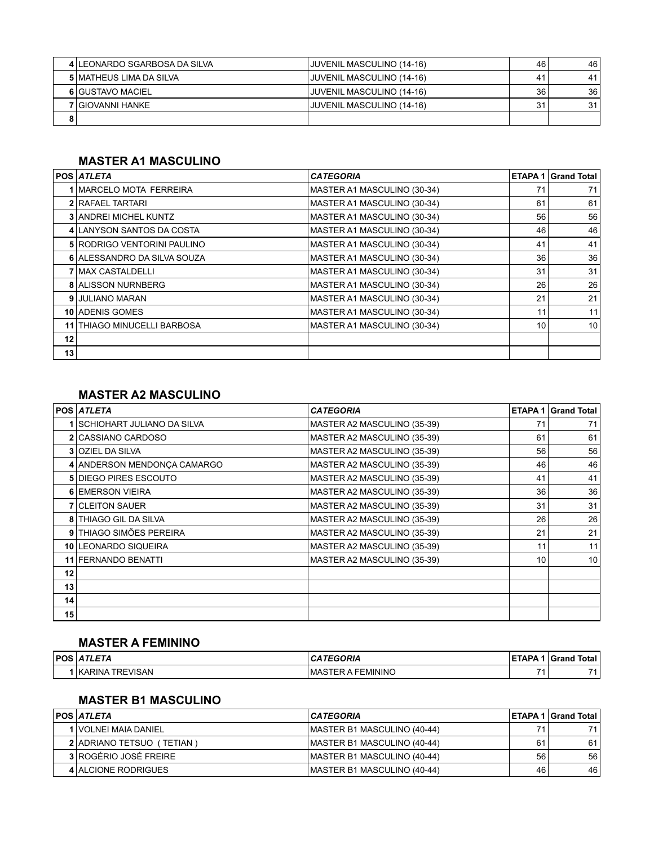|   | 4 LEONARDO SGARBOSA DA SILVA | JUVENIL MASCULINO (14-16)        | 46 | 46   |
|---|------------------------------|----------------------------------|----|------|
|   | 5 I MATHEUS LIMA DA SILVA    | JUVENIL MASCULINO (14-16)        | 41 | 41   |
|   | 6 GUSTAVO MACIEL             | JUVENIL MASCULINO (14-16)        | 36 | 36 I |
|   | 7 I GIOVANNI HANKE           | <b>JUVENIL MASCULINO (14-16)</b> | 31 | 31   |
| 8 |                              |                                  |    |      |

# **MASTER A1 MASCULINO**

|    | POS  <i>ATLETA</i>              | <b>CATEGORIA</b>            |    | <b>ETAPA 1 Grand Total</b> |
|----|---------------------------------|-----------------------------|----|----------------------------|
|    | 1 MARCELO MOTA FERREIRA         | MASTER A1 MASCULINO (30-34) | 71 | 71                         |
|    | <b>2 RAFAEL TARTARI</b>         | MASTER A1 MASCULINO (30-34) | 61 | 61                         |
|    | <b>3 ANDREI MICHEL KUNTZ</b>    | MASTER A1 MASCULINO (30-34) | 56 | 56                         |
|    | 4 LANYSON SANTOS DA COSTA       | MASTER A1 MASCULINO (30-34) | 46 | 46                         |
|    | 5 RODRIGO VENTORINI PAULINO     | MASTER A1 MASCULINO (30-34) | 41 | 41                         |
|    | 6 ALESSANDRO DA SILVA SOUZA     | MASTER A1 MASCULINO (30-34) | 36 | 36                         |
|    | <b>7 MAX CASTALDELLI</b>        | MASTER A1 MASCULINO (30-34) | 31 | 31                         |
|    | <b>8 ALISSON NURNBERG</b>       | MASTER A1 MASCULINO (30-34) | 26 | 26                         |
|    | 9 JULIANO MARAN                 | MASTER A1 MASCULINO (30-34) | 21 | 21                         |
|    | 10 ADENIS GOMES                 | MASTER A1 MASCULINO (30-34) | 11 | 11                         |
| 11 | <b>THIAGO MINUCELLI BARBOSA</b> | MASTER A1 MASCULINO (30-34) | 10 | 10                         |
| 12 |                                 |                             |    |                            |
| 13 |                                 |                             |    |                            |

#### **MASTER A2 MASCULINO**

|    | <b>POS ATLETA</b>            | <b>CATEGORIA</b>            | ETAPA <sub>1</sub> | <b>Grand Total</b> |
|----|------------------------------|-----------------------------|--------------------|--------------------|
|    | SCHIOHART JULIANO DA SILVA   | MASTER A2 MASCULINO (35-39) | 71                 | 71                 |
|    | 2 CASSIANO CARDOSO           | MASTER A2 MASCULINO (35-39) | 61                 | 61                 |
|    | <b>3 OZIEL DA SILVA</b>      | MASTER A2 MASCULINO (35-39) | 56                 | 56                 |
|    | 4 ANDERSON MENDONCA CAMARGO  | MASTER A2 MASCULINO (35-39) | 46                 | 46                 |
|    | <b>5 DIEGO PIRES ESCOUTO</b> | MASTER A2 MASCULINO (35-39) | 41                 | 41                 |
|    | 6 EMERSON VIEIRA             | MASTER A2 MASCULINO (35-39) | 36                 | 36                 |
|    | <b>7 CLEITON SAUER</b>       | MASTER A2 MASCULINO (35-39) | 31                 | 31                 |
| 8  | THIAGO GIL DA SILVA          | MASTER A2 MASCULINO (35-39) | 26                 | 26                 |
| 9  | THIAGO SIMÕES PEREIRA        | MASTER A2 MASCULINO (35-39) | 21                 | 21                 |
|    | 10 LEONARDO SIQUEIRA         | MASTER A2 MASCULINO (35-39) | 11                 | 11                 |
|    | 11 FERNANDO BENATTI          | MASTER A2 MASCULINO (35-39) | 10                 | 10                 |
| 12 |                              |                             |                    |                    |
| 13 |                              |                             |                    |                    |
| 14 |                              |                             |                    |                    |
| 15 |                              |                             |                    |                    |

#### **MASTER A FEMININO**

| <b>POS</b> | ---<br>$\sim$ $\sim$      | GORIA<br>-. -        | $-1$          | <b>Total</b><br>Grand |
|------------|---------------------------|----------------------|---------------|-----------------------|
|            | $\sim$ 110<br>╰△<br>∠IN ' | MININK<br><b>IVI</b> | $\rightarrow$ | 74                    |

#### **MASTER B1 MASCULINO**

| <b>POS ATLETA</b>         | <b>CATEGORIA</b>            |    | ⊺ETAPA 1 I Grand Total I |
|---------------------------|-----------------------------|----|--------------------------|
| 1 I VOLNEI MAIA DANIEL    | MASTER B1 MASCULINO (40-44) |    | 71                       |
| 2 ADRIANO TETSUO (TETIAN) | MASTER B1 MASCULINO (40-44) | 61 | 61                       |
| 3 ROGÉRIO JOSÉ FREIRE     | MASTER B1 MASCULINO (40-44) | 56 | 56                       |
| 4 ALCIONE RODRIGUES       | MASTER B1 MASCULINO (40-44) | 46 | 46                       |